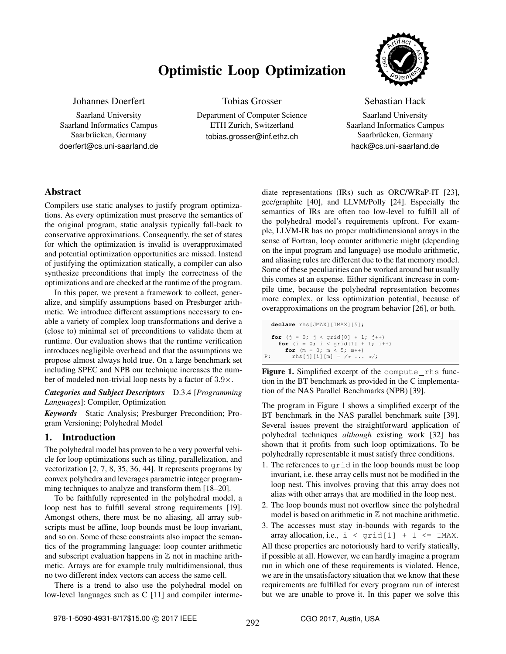# Optimistic Loop Optimization



# Johannes Doerfert

Saarland University Saarland Informatics Campus Saarbrücken, Germany doerfert@cs.uni-saarland.de Tobias Grosser

Department of Computer Science ETH Zurich, Switzerland tobias.grosser@inf.ethz.ch

Sebastian Hack

Saarland University Saarland Informatics Campus Saarbrücken, Germany hack@cs.uni-saarland.de

# Abstract

Compilers use static analyses to justify program optimizations. As every optimization must preserve the semantics of the original program, static analysis typically fall-back to conservative approximations. Consequently, the set of states for which the optimization is invalid is overapproximated and potential optimization opportunities are missed. Instead of justifying the optimization statically, a compiler can also synthesize preconditions that imply the correctness of the optimizations and are checked at the runtime of the program.

In this paper, we present a framework to collect, generalize, and simplify assumptions based on Presburger arithmetic. We introduce different assumptions necessary to enable a variety of complex loop transformations and derive a (close to) minimal set of preconditions to validate them at runtime. Our evaluation shows that the runtime verification introduces negligible overhead and that the assumptions we propose almost always hold true. On a large benchmark set including SPEC and NPB our technique increases the number of modeled non-trivial loop nests by a factor of 3.9×.

*Categories and Subject Descriptors* D.3.4 [*Programming Languages*]: Compiler, Optimization

*Keywords* Static Analysis; Presburger Precondition; Program Versioning; Polyhedral Model

# 1. Introduction

The polyhedral model has proven to be a very powerful vehicle for loop optimizations such as tiling, parallelization, and vectorization [\[2,](#page-10-0) [7,](#page-10-1) [8,](#page-10-2) [35,](#page-11-0) [36,](#page-11-1) [44\]](#page-11-2). It represents programs by convex polyhedra and leverages parametric integer program-ming techniques to analyze and transform them [\[18](#page-10-3)[–20\]](#page-10-4).

To be faithfully represented in the polyhedral model, a loop nest has to fulfill several strong requirements [\[19\]](#page-10-5). Amongst others, there must be no aliasing, all array subscripts must be affine, loop bounds must be loop invariant, and so on. Some of these constraints also impact the semantics of the programming language: loop counter arithmetic and subscript evaluation happens in  $\mathbb Z$  not in machine arithmetic. Arrays are for example truly multidimensional, thus no two different index vectors can access the same cell.

There is a trend to also use the polyhedral model on low-level languages such as C [\[11\]](#page-10-6) and compiler intermediate representations (IRs) such as ORC/WRaP-IT [\[23\]](#page-10-7), gcc/graphite [\[40\]](#page-11-3), and LLVM/Polly [\[24\]](#page-10-8). Especially the semantics of IRs are often too low-level to fulfill all of the polyhedral model's requirements upfront. For example, LLVM-IR has no proper multidimensional arrays in the sense of Fortran, loop counter arithmetic might (depending on the input program and language) use modulo arithmetic, and aliasing rules are different due to the flat memory model. Some of these peculiarities can be worked around but usually this comes at an expense. Either significant increase in compile time, because the polyhedral representation becomes more complex, or less optimization potential, because of overapproximations on the program behavior [\[26\]](#page-11-4), or both.

```
declare rhs[JMAX][IMAX][5];
  for (j = 0; j < \text{grid}[0] + 1; j++)for (i = 0; i < \text{grid}[1] + 1; i++)for (m = 0; m < 5; m++)P: rhs[j][i][m] = /\star ... \star/;
```
Figure 1. Simplified excerpt of the compute rhs function in the BT benchmark as provided in the C implementation of the NAS Parallel Benchmarks (NPB) [\[39\]](#page-11-5).

The program in [Figure 1](#page-0-0) shows a simplified excerpt of the BT benchmark in the NAS parallel benchmark suite [\[39\]](#page-11-5). Several issues prevent the straightforward application of polyhedral techniques *although* existing work [\[32\]](#page-11-6) has shown that it profits from such loop optimizations. To be polyhedrally representable it must satisfy three conditions.

- 1. The references to grid in the loop bounds must be loop invariant, i.e. these array cells must not be modified in the loop nest. This involves proving that this array does not alias with other arrays that are modified in the loop nest.
- 2. The loop bounds must not overflow since the polyhedral model is based on arithmetic in  $Z$  not machine arithmetic.
- 3. The accesses must stay in-bounds with regards to the array allocation, i.e.,  $i <$  grid[1] + 1 <= IMAX. All these properties are notoriously hard to verify statically, if possible at all. However, we can hardly imagine a program run in which one of these requirements is violated. Hence, we are in the unsatisfactory situation that we know that these requirements are fulfilled for every program run of interest

but we are unable to prove it. In this paper we solve this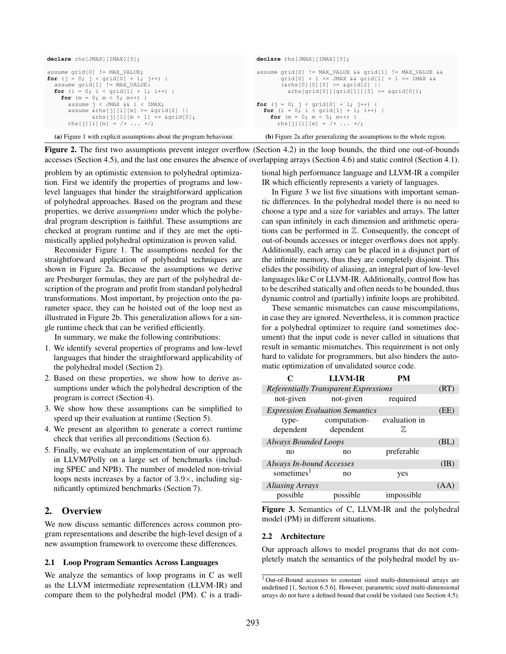```
declare rhs[JMAX][IMAX][5];
assume grid[0] != MAX_VALUE;
for (j = 0; j < \text{grid}[0] + 1; j++) {
  assume grid[1] != MAX_VALUE:
  for (i = 0; i < grid[1] + 1; i++) {
    for (m = 0; m < 5; m++) {
      assume j < JMAX && i < IMAX;
      assume \&rhs[j][i][m] >= \&grid[2] ||
              \&rhs[j][i][m + 1] <= \&grid[0];
      rhs[j][i][m] = /* \ldots */;declare rhs[JMAX][IMAX][5];
                                                                   assume grid[0] != MAX_VALUE && grid[1] != MAX_VALUE &&
                                                                           grid[0] + 1 \leq JMAX \& grid[1] + 1 \leq IMAX \&(srhs[0][0][0][0] \geq = sgrid[2] ||\text{krhs}[\text{grid}[0]][\text{grid}[1]][5] \leq \text{grid}[0]);
                                                                    for (j = 0; j < \text{grid}[0] + 1; j++) {
                                                                      for (i = 0; i < grid[1] + 1; i++) {
                                                                        for (m = 0; m < 5; m++) {
                                                                          rhs[j][i][m] = /* \ldots */;
```
(a) [Figure 1](#page-0-0) with explicit assumptions about the program behaviour.

Figure 2. The first two assumptions prevent integer overflow [\(Section 4.2\)](#page-3-0) in the loop bounds, the third one out-of-bounds accesses [\(Section 4.5\)](#page-5-0), and the last one ensures the absence of overlapping arrays [\(Section 4.6\)](#page-6-0) and static control [\(Section 4.1\)](#page-3-1).

problem by an optimistic extension to polyhedral optimization. First we identify the properties of programs and lowlevel languages that hinder the straightforward application of polyhedral approaches. Based on the program and these properties, we derive *assumptions* under which the polyhedral program description is faithful. These assumptions are checked at program runtime and if they are met the optimistically applied polyhedral optimization is proven valid.

Reconsider [Figure 1.](#page-0-0) The assumptions needed for the straightforward application of polyhedral techniques are shown in [Figure 2a.](#page-1-0) Because the assumptions we derive are Presburger formulas, they are part of the polyhedral description of the program and profit from standard polyhedral transformations. Most important, by projection onto the parameter space, they can be hoisted out of the loop nest as illustrated in [Figure 2b.](#page-1-0) This generalization allows for a single runtime check that can be verified efficiently.

In summary, we make the following contributions:

- 1. We identify several properties of programs and low-level languages that hinder the straightforward applicability of the polyhedral model [\(Section 2\)](#page-1-1).
- 2. Based on these properties, we show how to derive assumptions under which the polyhedral description of the program is correct [\(Section 4\)](#page-3-2).
- 3. We show how these assumptions can be simplified to speed up their evaluation at runtime [\(Section 5\)](#page-6-1).
- 4. We present an algorithm to generate a correct runtime check that verifies all preconditions [\(Section 6\)](#page-6-2).
- 5. Finally, we evaluate an implementation of our approach in LLVM/Polly on a large set of benchmarks (including SPEC and NPB). The number of modeled non-trivial loops nests increases by a factor of  $3.9\times$ , including significantly optimized benchmarks [\(Section 7\)](#page-8-0).

# <span id="page-1-1"></span>2. Overview

We now discuss semantic differences across common program representations and describe the high-level design of a new assumption framework to overcome these differences.

#### 2.1 Loop Program Semantics Across Languages

We analyze the semantics of loop programs in C as well as the LLVM intermediate representation (LLVM-IR) and compare them to the polyhedral model (PM). C is a traditional high performance language and LLVM-IR a compiler IR which efficiently represents a variety of languages.

(b) [Figure 2a](#page-1-0) after generalizing the assumptions to the whole region.

In [Figure 3](#page-1-2) we list five situations with important semantic differences. In the polyhedral model there is no need to choose a type and a size for variables and arrays. The latter can span infinitely in each dimension and arithmetic operations can be performed in Z. Consequently, the concept of out-of-bounds accesses or integer overflows does not apply. Additionally, each array can be placed in a disjunct part of the infinite memory, thus they are completely disjoint. This elides the possibility of aliasing, an integral part of low-level languages like C or LLVM-IR. Additionally, control flow has to be described statically and often needs to be bounded, thus dynamic control and (partially) infinite loops are prohibited.

These semantic mismatches can cause miscompilations, in case they are ignored. Nevertheless, it is common practice for a polyhedral optimizer to require (and sometimes document) that the input code is never called in situations that result in semantic mismatches. This requirement is not only hard to validate for programmers, but also hinders the automatic optimization of unvalidated source code.

<span id="page-1-2"></span>

|                                              | <b>LLVM-IR</b> | PМ            |      |
|----------------------------------------------|----------------|---------------|------|
| <b>Referentially Transparent Expressions</b> |                |               | (RT) |
| not-given                                    | not-given      | required      |      |
| <b>Expression Evaluation Semantics</b>       |                |               | (EE) |
| type-                                        | computation-   | evaluation in |      |
| dependent                                    | dependent      | 77,           |      |
| <b>Always Bounded Loops</b>                  |                |               | (BL) |
| no                                           | no             | preferable    |      |
| Always In-bound Accesses                     |                |               | (IB) |
| sometimes $1$                                | no             | yes           |      |
| <b>Aliasing Arrays</b>                       |                |               | (AA  |
| possible                                     | possible       | impossible    |      |

Figure 3. Semantics of C, LLVM-IR and the polyhedral model (PM) in different situations.

#### 2.2 Architecture

Our approach allows to model programs that do not completely match the semantics of the polyhedral model by us-

<sup>1</sup> Out-of-Bound accesses to constant sized multi-dimensional arrays are undefined [\[1,](#page-10-9) Section 6.5.6]. However, parametric sized multi-dimensional arrays do not have a defined bound that could be violated (see [Section 4.5\)](#page-5-0).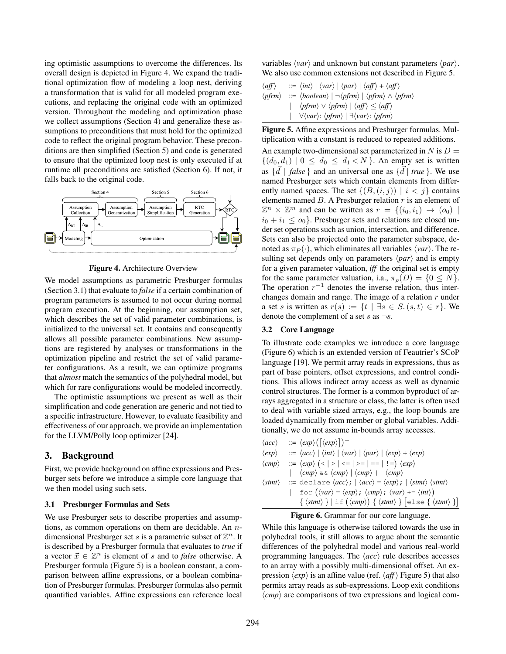ing optimistic assumptions to overcome the differences. Its overall design is depicted in [Figure 4.](#page-2-0) We expand the traditional optimization flow of modeling a loop nest, deriving a transformation that is valid for all modeled program executions, and replacing the original code with an optimized version. Throughout the modeling and optimization phase we collect assumptions [\(Section 4\)](#page-3-2) and generalize these assumptions to preconditions that must hold for the optimized code to reflect the original program behavior. These preconditions are then simplified [\(Section 5\)](#page-6-1) and code is generated to ensure that the optimized loop nest is only executed if at runtime all preconditions are satisfied [\(Section 6\)](#page-6-2). If not, it falls back to the original code.

<span id="page-2-0"></span>

Figure 4. Architecture Overview

We model assumptions as parametric Presburger formulas [\(Section 3.1\)](#page-2-1) that evaluate to *false* if a certain combination of program parameters is assumed to not occur during normal program execution. At the beginning, our assumption set, which describes the set of valid parameter combinations, is initialized to the universal set. It contains and consequently allows all possible parameter combinations. New assumptions are registered by analyses or transformations in the optimization pipeline and restrict the set of valid parameter configurations. As a result, we can optimize programs that *almost* match the semantics of the polyhedral model, but which for rare configurations would be modeled incorrectly.

The optimistic assumptions we present as well as their simplification and code generation are generic and not tied to a specific infrastructure. However, to evaluate feasibility and effectiveness of our approach, we provide an implementation for the LLVM/Polly loop optimizer [\[24\]](#page-10-8).

# 3. Background

First, we provide background on affine expressions and Presburger sets before we introduce a simple core language that we then model using such sets.

#### <span id="page-2-1"></span>3.1 Presburger Formulas and Sets

We use Presburger sets to describe properties and assumptions, as common operations on them are decidable. An ndimensional Presburger set s is a parametric subset of  $\mathbb{Z}^n$ . It is described by a Presburger formula that evaluates to *true* if a vector  $\vec{x} \in \mathbb{Z}^n$  is element of s and to *false* otherwise. A Presburger formula [\(Figure 5\)](#page-2-2) is a boolean constant, a comparison between affine expressions, or a boolean combination of Presburger formulas. Presburger formulas also permit quantified variables. Affine expressions can reference local variables  $\langle var \rangle$  and unknown but constant parameters  $\langle par \rangle$ . We also use common extensions not described in [Figure 5.](#page-2-2)

<span id="page-2-2"></span>
$$
\langle aff \rangle ::= \langle int \rangle | \langle var \rangle | \langle pgr \rangle | \langle aff \rangle + \langle aff \rangle
$$
  
\n
$$
\langle pfrm \rangle ::= \langle boolean \rangle | \neg \langle pfrm \rangle | \langle pfrm \rangle \wedge \langle pfrm \rangle
$$
  
\n
$$
| \langle pfrm \rangle \vee \langle pfrm \rangle | \langle aff \rangle \leq \langle aff \rangle
$$
  
\n
$$
| \forall \langle var \rangle : \langle pfrm \rangle | \exists \langle var \rangle : \langle pfrm \rangle
$$

Figure 5. Affine expressions and Presburger formulas. Multiplication with a constant is reduced to repeated additions.

An example two-dimensional set parameterized in  $N$  is  $D =$  $\{(d_0, d_1) \mid 0 \leq d_0 \leq d_1 < N\}$ . An empty set is written as  $\{\vec{d} \mid false\}$  and an universal one as  $\{\vec{d} \mid true\}$ . We use named Presburger sets which contain elements from differently named spaces. The set  $\{(B,(i,j)) \mid i < j\}$  contains elements named  $B$ . A Presburger relation  $r$  is an element of  $\mathbb{Z}^n \times \mathbb{Z}^m$  and can be written as  $r = \{(i_0, i_1) \to (o_0) \mid$  $i_0 + i_1 \leq o_0$ . Presburger sets and relations are closed under set operations such as union, intersection, and difference. Sets can also be projected onto the parameter subspace, denoted as  $\pi_P(\cdot)$ , which eliminates all variables  $\langle var \rangle$ . The resulting set depends only on parameters  $\langle par \rangle$  and is empty for a given parameter valuation, *iff* the original set is empty for the same parameter valuation, i.a.,  $\pi_{\rho}(D) = \{0 \leq N\}.$ The operation  $r^{-1}$  denotes the inverse relation, thus interchanges domain and range. The image of a relation  $r$  under a set s is written as  $r(s) := \{t \mid \exists s \in S, (s,t) \in r\}.$  We denote the complement of a set s as  $\neg s$ .

#### 3.2 Core Language

To illustrate code examples we introduce a core language [\(Figure 6\)](#page-2-3) which is an extended version of Feautrier's SCoP language [\[19\]](#page-10-5). We permit array reads in expressions, thus as part of base pointers, offset expressions, and control conditions. This allows indirect array access as well as dynamic control structures. The former is a common byproduct of arrays aggregated in a structure or class, the latter is often used to deal with variable sized arrays, e.g., the loop bounds are loaded dynamically from member or global variables. Additionally, we do not assume in-bounds array accesses.

<span id="page-2-3"></span>

| $\langle acc \rangle$ | $:= \langle exp \rangle (\left[ \langle exp \rangle \right])^+$                                                                                                                   |
|-----------------------|-----------------------------------------------------------------------------------------------------------------------------------------------------------------------------------|
| $\langle exp \rangle$ | $\Rightarrow \langle acc \rangle \mid \langle int \rangle \mid \langle var \rangle \mid \langle par \rangle \mid \langle exp \rangle + \langle exp \rangle$                       |
| $\langle cmp \rangle$ | ::= $\langle exp \rangle$ $\langle$ <   >   <=   >=   ==   ! =) $\langle exp \rangle$                                                                                             |
|                       | $\langle cmp \rangle$ & $\langle cmp \rangle$   $\langle cmp \rangle$   $\langle cmp \rangle$                                                                                     |
|                       | $\langle$ <i>stmt</i> $\rangle$ ::= declare $\langle acc \rangle$ ; $ \langle acc \rangle = \langle exp \rangle$ ; $ \langle$ <i>stmt</i> $\rangle \langle$ <i>stmt</i> $\rangle$ |
|                       | for $(\langle var \rangle = \langle exp \rangle; \langle comp \rangle; \langle var \rangle = \langle int \rangle)$                                                                |
|                       | $\{\langle \textit{stmt} \rangle\}   \text{if } (\langle \textit{cmp} \rangle) \{ \langle \textit{stmt} \rangle\}   \text{else} \{ \langle \textit{stmt} \rangle\}  $             |



While this language is otherwise tailored towards the use in polyhedral tools, it still allows to argue about the semantic differences of the polyhedral model and various real-world programming languages. The  $\langle acc \rangle$  rule describes accesses to an array with a possibly multi-dimensional offset. An expression  $\langle exp \rangle$  is an affine value (ref.  $\langle aff \rangle$  [Figure 5\)](#page-2-2) that also permits array reads as sub-expressions. Loop exit conditions  $\langle cmp \rangle$  are comparisons of two expressions and logical com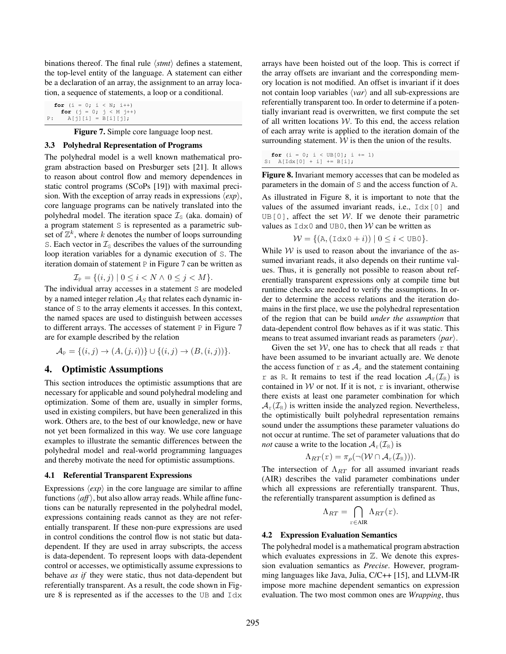binations thereof. The final rule  $\langle$ *stmt* $\rangle$  defines a statement, the top-level entity of the language. A statement can either be a declaration of an array, the assignment to an array location, a sequence of statements, a loop or a conditional.

<span id="page-3-3"></span>**for** (i = 0; i < N; i++) **for**  $(j = 0; j < M j++)$ <br>**P:**  $A[j][i] = B[i][j];$ 

**Figure 7.** Simple core language loop nest.

#### 3.3 Polyhedral Representation of Programs

The polyhedral model is a well known mathematical program abstraction based on Presburger sets [\[21\]](#page-10-10). It allows to reason about control flow and memory dependences in static control programs (SCoPs [\[19\]](#page-10-5)) with maximal precision. With the exception of array reads in expressions  $\langle exp \rangle$ , core language programs can be natively translated into the polyhedral model. The iteration space  $\mathcal{I}_\text{S}$  (aka. domain) of a program statement S is represented as a parametric subset of  $\mathbb{Z}^k$ , where k denotes the number of loops surrounding S. Each vector in  $\mathcal{I}_S$  describes the values of the surrounding loop iteration variables for a dynamic execution of S. The iteration domain of statement  $P$  in [Figure 7](#page-3-3) can be written as

$$
\mathcal{I}_{P} = \{ (i,j) \mid 0 \leq i < N \land 0 \leq j < M \}.
$$

The individual array accesses in a statement S are modeled by a named integer relation  $A<sub>S</sub>$  that relates each dynamic instance of S to the array elements it accesses. In this context, the named spaces are used to distinguish between accesses to different arrays. The accesses of statement P in [Figure 7](#page-3-3) are for example described by the relation

$$
\mathcal{A}_{P} = \{(i, j) \rightarrow (A, (j, i))\} \cup \{(i, j) \rightarrow (B, (i, j))\}.
$$

## <span id="page-3-2"></span>4. Optimistic Assumptions

This section introduces the optimistic assumptions that are necessary for applicable and sound polyhedral modeling and optimization. Some of them are, usually in simpler forms, used in existing compilers, but have been generalized in this work. Others are, to the best of our knowledge, new or have not yet been formalized in this way. We use core language examples to illustrate the semantic differences between the polyhedral model and real-world programming languages and thereby motivate the need for optimistic assumptions.

#### <span id="page-3-1"></span>4.1 Referential Transparent Expressions

Expressions  $\langle exp \rangle$  in the core language are similar to affine functions  $\langle aff \rangle$ , but also allow array reads. While affine functions can be naturally represented in the polyhedral model, expressions containing reads cannot as they are not referentially transparent. If these non-pure expressions are used in control conditions the control flow is not static but datadependent. If they are used in array subscripts, the access is data-dependent. To represent loops with data-dependent control or accesses, we optimistically assume expressions to behave *as if* they were static, thus not data-dependent but referentially transparent. As a result, the code shown in [Fig](#page-3-4)[ure 8](#page-3-4) is represented as if the accesses to the UB and Idx

arrays have been hoisted out of the loop. This is correct if the array offsets are invariant and the corresponding memory location is not modified. An offset is invariant if it does not contain loop variables  $\langle var \rangle$  and all sub-expressions are referentially transparent too. In order to determine if a potentially invariant read is overwritten, we first compute the set of all written locations  $W$ . To this end, the access relation of each array write is applied to the iteration domain of the surrounding statement.  $W$  is then the union of the results.

<span id="page-3-4"></span>**for**  $(i = 0; i < UB[0]; i \neq 1)$ S:  $A[Idx[0] + i] += B[i];$ 

Figure 8. Invariant memory accesses that can be modeled as parameters in the domain of S and the access function of A.

As illustrated in [Figure 8,](#page-3-4) it is important to note that the values of the assumed invariant reads, i.e.,  $Idx[0]$  and UB[0], affect the set  $W$ . If we denote their parametric values as  $Idx0$  and UB0, then W can be written as

$$
\mathcal{W} = \{ (\mathbf{A}, (\mathbf{Idx0} + i)) \mid 0 \le i < \mathbf{UB0} \}.
$$

While  $W$  is used to reason about the invariance of the assumed invariant reads, it also depends on their runtime values. Thus, it is generally not possible to reason about referentially transparent expressions only at compile time but runtime checks are needed to verify the assumptions. In order to determine the access relations and the iteration domains in the first place, we use the polyhedral representation of the region that can be build *under the assumption* that data-dependent control flow behaves as if it was static. This means to treat assumed invariant reads as parameters  $\langle par \rangle$ .

Given the set  $W$ , one has to check that all reads  $r$  that have been assumed to be invariant actually are. We denote the access function of  $r$  as  $A_r$  and the statement containing r as R. It remains to test if the read location  $\mathcal{A}_r(\mathcal{I}_R)$  is contained in  $W$  or not. If it is not,  $r$  is invariant, otherwise there exists at least one parameter combination for which  $\mathcal{A}_{r}(\mathcal{I}_{R})$  is written inside the analyzed region. Nevertheless, the optimistically built polyhedral representation remains sound under the assumptions these parameter valuations do not occur at runtime. The set of parameter valuations that do *not* cause a write to the location  $A_r(\mathcal{I}_R)$  is

$$
\Lambda_{RT}(\mathbf{r}) = \pi_{\rho}(\neg(\mathcal{W} \cap \mathcal{A}_{\mathbf{r}}(\mathcal{I}_{\mathbf{R}}))).
$$

The intersection of  $\Lambda_{RT}$  for all assumed invariant reads (AIR) describes the valid parameter combinations under which all expressions are referentially transparent. Thus, the referentially transparent assumption is defined as

$$
\Lambda_{RT} = \bigcap_{\mathbf{r} \in \mathbf{AIR}} \Lambda_{RT}(\mathbf{r}).
$$

#### <span id="page-3-0"></span>4.2 Expression Evaluation Semantics

The polyhedral model is a mathematical program abstraction which evaluates expressions in  $\mathbb{Z}$ . We denote this expression evaluation semantics as *Precise*. However, programming languages like Java, Julia, C/C++ [\[15\]](#page-10-11), and LLVM-IR impose more machine dependent semantics on expression evaluation. The two most common ones are *Wrapping*, thus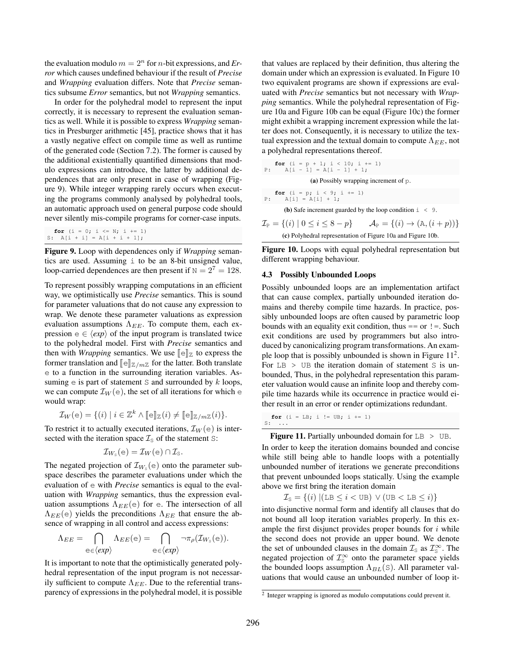the evaluation modulo  $m = 2<sup>n</sup>$  for *n*-bit expressions, and *Error* which causes undefined behaviour if the result of *Precise* and *Wrapping* evaluation differs. Note that *Precise* semantics subsume *Error* semantics, but not *Wrapping* semantics.

In order for the polyhedral model to represent the input correctly, it is necessary to represent the evaluation semantics as well. While it is possible to express *Wrapping* semantics in Presburger arithmetic [\[45\]](#page-11-7), practice shows that it has a vastly negative effect on compile time as well as runtime of the generated code [\(Section 7.2\)](#page-8-1). The former is caused by the additional existentially quantified dimensions that modulo expressions can introduce, the latter by additional dependences that are only present in case of wrapping [\(Fig](#page-4-0)[ure 9\)](#page-4-0). While integer wrapping rarely occurs when executing the programs commonly analysed by polyhedral tools, an automatic approach used on general purpose code should never silently mis-compile programs for corner-case inputs.

<span id="page-4-0"></span>**for** (i = 0; i <= N; i += 1) S:  $A[i + i] = A[i + i + 1]$ ;

Figure 9. Loop with dependences only if *Wrapping* semantics are used. Assuming i to be an 8-bit unsigned value, loop-carried dependences are then present if  $N = 2^7 = 128$ .

To represent possibly wrapping computations in an efficient way, we optimistically use *Precise* semantics. This is sound for parameter valuations that do not cause any expression to wrap. We denote these parameter valuations as expression evaluation assumptions  $\Lambda_{EE}$ . To compute them, each expression  $e \in \langle exp \rangle$  of the input program is translated twice to the polyhedral model. First with *Precise* semantics and then with *Wrapping* semantics. We use  $\lbrack \lbrack \varepsilon \rbrack \rbrack$  to express the former translation and  $[\![e]\!]_{\mathbb{Z}/m\mathbb{Z}}$  for the latter. Both translate e to a function in the surrounding iteration variables. Assuming  $e$  is part of statement S and surrounded by  $k$  loops, we can compute  $\mathcal{I}_W(e)$ , the set of all iterations for which e would wrap:

$$
\mathcal{I}_W(\mathsf{e}) = \{(i) \mid i \in \mathbb{Z}^k \land [\![ \mathsf{e} ]\!]_\mathbb{Z}(i) \neq [\![ \mathsf{e} ]\!]_\mathbb{Z/m\mathbb{Z}}(i) \}.
$$

To restrict it to actually executed iterations,  $\mathcal{I}_W(e)$  is intersected with the iteration space  $\mathcal{I}_\text{S}$  of the statement S:

$$
\mathcal{I}_{W_{\rm s}}(e) = \mathcal{I}_W(e) \cap \mathcal{I}_{\rm s}.
$$

The negated projection of  $\mathcal{I}_{W_{\rm s}}(e)$  onto the parameter subspace describes the parameter evaluations under which the evaluation of e with *Precise* semantics is equal to the evaluation with *Wrapping* semantics, thus the expression evaluation assumptions  $\Lambda_{EE}(\text{e})$  for e. The intersection of all  $\Lambda_{EE}$ (e) yields the preconditions  $\Lambda_{EE}$  that ensure the absence of wrapping in all control and access expressions:

$$
\Lambda_{EE} = \bigcap_{e \in \langle exp \rangle} \Lambda_{EE}(e) = \bigcap_{e \in \langle exp \rangle} \neg \pi_{\rho}(\mathcal{I}_{W_{s}}(e)).
$$

It is important to note that the optimistically generated polyhedral representation of the input program is not necessarily sufficient to compute  $\Lambda_{EE}$ . Due to the referential transparency of expressions in the polyhedral model, it is possible that values are replaced by their definition, thus altering the domain under which an expression is evaluated. In [Figure 10](#page-4-1) two equivalent programs are shown if expressions are evaluated with *Precise* semantics but not necessary with *Wrapping* semantics. While the polyhedral representation of [Fig](#page-4-1)[ure 10a](#page-4-1) and [Figure 10b](#page-4-1) can be equal [\(Figure 10c\)](#page-4-1) the former might exhibit a wrapping increment expression while the latter does not. Consequently, it is necessary to utilize the textual expression and the textual domain to compute  $\Lambda_{EE}$ , not a polyhedral representations thereof.

<span id="page-4-1"></span>**for** 
$$
(i = p + 1; i < 10; i += 1)
$$

\nP:  $A[i - 1] = A[i - 1] + 1;$ 

\n**(a)** Possibly wrapping increment of p.

\n**for**  $(i = p; i < 9; i += 1)$ 

\nP:  $A[i] = A[i] + 1;$ 

(b) Safe increment guarded by the loop condition  $\pm$  < 9.

$$
\mathcal{I}_{P} = \{(i) | 0 \leq i \leq 8 - p\}
$$
  

$$
\mathcal{A}_{P} = \{(i) \rightarrow (A, (i + p))\}
$$
  
(c) Polyhedral representation of Figure 10a and Figure 10b.

Figure 10. Loops with equal polyhedral representation but different wrapping behaviour.

#### 4.3 Possibly Unbounded Loops

Possibly unbounded loops are an implementation artifact that can cause complex, partially unbounded iteration domains and thereby compile time hazards. In practice, possibly unbounded loops are often caused by parametric loop bounds with an equality exit condition, thus  $==$  or  $!=$ . Such exit conditions are used by programmers but also introduced by canonicalizing program transformations. An example loop that is possibly unbounded is shown in Figure  $11<sup>2</sup>$  $11<sup>2</sup>$  $11<sup>2</sup>$ . For  $LB > UB$  the iteration domain of statement S is unbounded, Thus, in the polyhedral representation this parameter valuation would cause an infinite loop and thereby compile time hazards while its occurrence in practice would either result in an error or render optimizations redundant.

<span id="page-4-2"></span>**for**  $(i = LB; i != UB; i += 1)$  $s: \ldots$ 

Figure 11. Partially unbounded domain for LB > UB.

In order to keep the iteration domains bounded and concise while still being able to handle loops with a potentially unbounded number of iterations we generate preconditions that prevent unbounded loops statically. Using the example above we first bring the iteration domain

$$
\mathcal{I}_\text{S} = \{(i) \mid (\text{LB} \leq i < \text{UB}) \lor (\text{UB} < \text{LB} \leq i)\}
$$

into disjunctive normal form and identify all clauses that do not bound all loop iteration variables properly. In this example the first disjunct provides proper bounds for  $i$  while the second does not provide an upper bound. We denote the set of unbounded clauses in the domain  $\mathcal{I}_s$  as  $\mathcal{I}_s^{\infty}$ . The negated projection of  $\mathcal{I}_s^{\infty}$  onto the parameter space yields the bounded loops assumption  $\Lambda_{BL}(S)$ . All parameter valuations that would cause an unbounded number of loop it-

<span id="page-4-3"></span><sup>&</sup>lt;sup>2</sup> Integer wrapping is ignored as modulo computations could prevent it.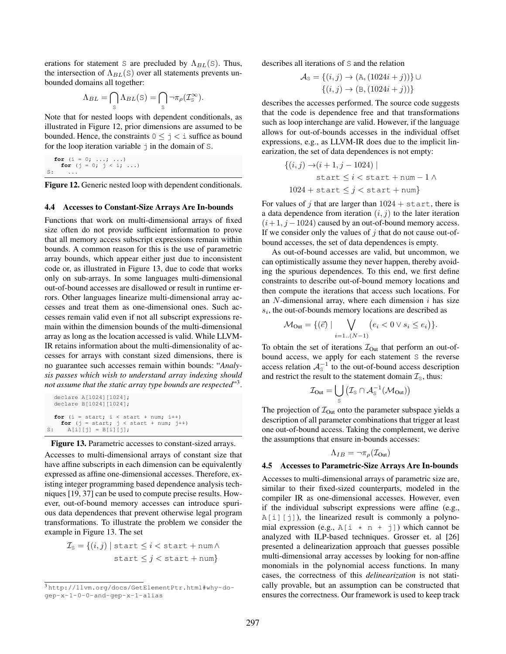erations for statement S are precluded by  $\Lambda_{BL}(S)$ . Thus, the intersection of  $\Lambda_{BL}(S)$  over all statements prevents unbounded domains all together:

$$
\Lambda_{BL} = \bigcap_{S} \Lambda_{BL}(S) = \bigcap_{S} \neg \pi_{\rho}(\mathcal{I}_{S}^{\infty}).
$$

Note that for nested loops with dependent conditionals, as illustrated in [Figure 12,](#page-5-1) prior dimensions are assumed to be bounded. Hence, the constraints  $0 \le j \le i$  suffice as bound for the loop iteration variable  $\exists$  in the domain of S.

<span id="page-5-1"></span>**for** 
$$
(i = 0; ..., ...,)
$$
  
\n**for**  $(j = 0; j < i; ...)$   
\nS: ...

Figure 12. Generic nested loop with dependent conditionals.

#### <span id="page-5-4"></span>4.4 Accesses to Constant-Size Arrays Are In-bounds

Functions that work on multi-dimensional arrays of fixed size often do not provide sufficient information to prove that all memory access subscript expressions remain within bounds. A common reason for this is the use of parametric array bounds, which appear either just due to inconsistent code or, as illustrated in [Figure 13,](#page-5-2) due to code that works only on sub-arrays. In some languages multi-dimensional out-of-bound accesses are disallowed or result in runtime errors. Other languages linearize multi-dimensional array accesses and treat them as one-dimensional ones. Such accesses remain valid even if not all subscript expressions remain within the dimension bounds of the multi-dimensional array as long as the location accessed is valid. While LLVM-IR retains information about the multi-dimensionality of accesses for arrays with constant sized dimensions, there is no guarantee such accesses remain within bounds: "*Analysis passes which wish to understand array indexing should not assume that the static array type bounds are respected*" [3](#page-5-3) .

```
declare A[1024][1024];
 declare B[1024][1024];
  for (i = start; i < start + num; i++)for (i = start; j < start + num; j++)S: A[i][j] = B[i][j];
```
Figure 13. Parametric accesses to constant-sized arrays. Accesses to multi-dimensional arrays of constant size that have affine subscripts in each dimension can be equivalently expressed as affine one-dimensional accesses. Therefore, existing integer programming based dependence analysis techniques [\[19,](#page-10-5) [37\]](#page-11-8) can be used to compute precise results. However, out-of-bound memory accesses can introduce spurious data dependences that prevent otherwise legal program transformations. To illustrate the problem we consider the example in [Figure 13.](#page-5-2) The set

$$
\mathcal{I}_S = \{(i, j) \mid \text{start} \leq i < \text{start} + \text{num} \land \\ \text{start} \leq j < \text{start} + \text{num} \}
$$

describes all iterations of S and the relation

$$
\mathcal{A}_{S} = \{(i, j) \to (A, (1024i + j))\} \cup \{(i, j) \to (B, (1024i + j))\}
$$

describes the accesses performed. The source code suggests that the code is dependence free and that transformations such as loop interchange are valid. However, if the language allows for out-of-bounds accesses in the individual offset expressions, e.g., as LLVM-IR does due to the implicit linearization, the set of data dependences is not empty:

$$
\{(i,j) \rightarrow (i+1,j-1024) \mid
$$
  
start  $\leq i <$ start + num - 1  $\land$   

$$
1024 +
$$
start  $\leq j <$ start + num $\}$ 

For values of j that are larger than  $1024 + \text{start}$ , there is a data dependence from iteration  $(i, j)$  to the later iteration  $(i+1, j-1024)$  caused by an out-of-bound memory access. If we consider only the values of  $j$  that do not cause out-ofbound accesses, the set of data dependences is empty.

As out-of-bound accesses are valid, but uncommon, we can optimistically assume they never happen, thereby avoiding the spurious dependences. To this end, we first define constraints to describe out-of-bound memory locations and then compute the iterations that access such locations. For an  $N$ -dimensional array, where each dimension  $i$  has size  $s_i$ , the out-of-bounds memory locations are described as

$$
\mathcal{M}_{\text{Out}} = \{ (\vec{e}) \mid \bigvee_{i=1..(N-1)} (e_i < 0 \lor s_i \leq e_i) \}.
$$

To obtain the set of iterations  $\mathcal{I}_{Out}$  that perform an out-ofbound access, we apply for each statement S the reverse access relation  $A_{\rm s}^{-1}$  to the out-of-bound access description and restrict the result to the statement domain  $\mathcal{I}_\text{S}$ , thus:

$$
\mathcal{I}_{\text{Out}} = \bigcup_{S} \left( \mathcal{I}_{S} \cap \mathcal{A}_{S}^{-1}(\mathcal{M}_{\text{Out}}) \right)
$$

The projection of  $\mathcal{I}_{\text{Out}}$  onto the parameter subspace yields a description of all parameter combinations that trigger at least one out-of-bound access. Taking the complement, we derive the assumptions that ensure in-bounds accesses:

$$
\Lambda_{IB} = \neg \pi_{\rho}(\mathcal{I}_{\text{Out}})
$$

#### <span id="page-5-0"></span>4.5 Accesses to Parametric-Size Arrays Are In-bounds

Accesses to multi-dimensional arrays of parametric size are, similar to their fixed-sized counterparts, modeled in the compiler IR as one-dimensional accesses. However, even if the individual subscript expressions were affine (e.g.,  $A[i][j])$ , the linearized result is commonly a polynomial expression (e.g.,  $A[i \times n + j]$ ) which cannot be analyzed with ILP-based techniques. Grosser et. al [\[26\]](#page-11-4) presented a delinearization approach that guesses possible multi-dimensional array accesses by looking for non-affine monomials in the polynomial access functions. In many cases, the correctness of this *delinearization* is not statically provable, but an assumption can be constructed that ensures the correctness. Our framework is used to keep track

<span id="page-5-3"></span><sup>3</sup> [http://llvm.org/docs/GetElementPtr.html#why-do](http://llvm.org/docs/GetElementPtr.html#why-do-gep-x-1-0-0-and-gep-x-1-alias)[gep-x-1-0-0-and-gep-x-1-alias](http://llvm.org/docs/GetElementPtr.html#why-do-gep-x-1-0-0-and-gep-x-1-alias)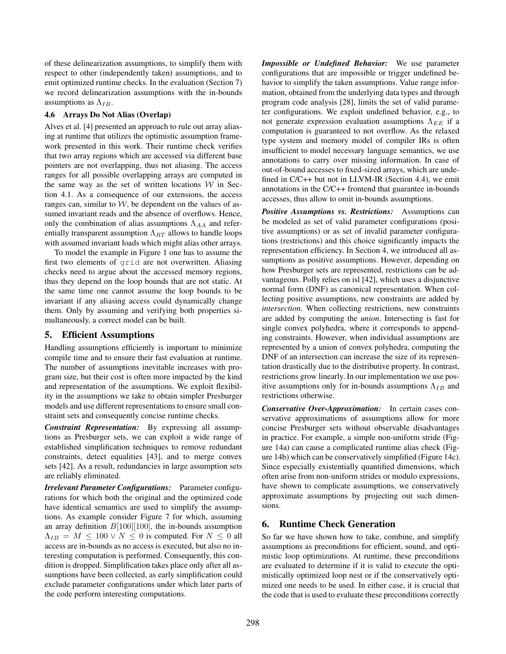of these delinearization assumptions, to simplify them with respect to other (independently taken) assumptions, and to emit optimized runtime checks. In the evaluation [\(Section 7\)](#page-8-0) we record delinearization assumptions with the in-bounds assumptions as  $\Lambda_{IB}$ .

# <span id="page-6-0"></span>4.6 Arrays Do Not Alias (Overlap)

Alves et al. [\[4\]](#page-10-12) presented an approach to rule out array aliasing at runtime that utilizes the optimistic assumption framework presented in this work. Their runtime check verifies that two array regions which are accessed via different base pointers are not overlapping, thus not aliasing. The access ranges for all possible overlapping arrays are computed in the same way as the set of written locations  $W$  in [Sec](#page-3-1)[tion 4.1.](#page-3-1) As a consequence of our extensions, the access ranges can, similar to  $W$ , be dependent on the values of assumed invariant reads and the absence of overflows. Hence, only the combination of alias assumptions  $\Lambda_{AA}$  and referentially transparent assumption  $\Lambda_{RT}$  allows to handle loops with assumed invariant loads which might alias other arrays.

To model the example in [Figure 1](#page-0-0) one has to assume the first two elements of grid are not overwritten. Aliasing checks need to argue about the accessed memory regions, thus they depend on the loop bounds that are not static. At the same time one cannot assume the loop bounds to be invariant if any aliasing access could dynamically change them. Only by assuming and verifying both properties simultaneously, a correct model can be built.

# <span id="page-6-1"></span>5. Efficient Assumptions

Handling assumptions efficiently is important to minimize compile time and to ensure their fast evaluation at runtime. The number of assumptions inevitable increases with program size, but their cost is often more impacted by the kind and representation of the assumptions. We exploit flexibility in the assumptions we take to obtain simpler Presburger models and use different representations to ensure small constraint sets and consequently concise runtime checks.

*Constraint Representation:* By expressing all assumptions as Presburger sets, we can exploit a wide range of established simplification techniques to remove redundant constraints, detect equalities [\[43\]](#page-11-9), and to merge convex sets [\[42\]](#page-11-10). As a result, redundancies in large assumption sets are reliably eliminated.

*Irrelevant Parameter Configurations:* Parameter configurations for which both the original and the optimized code have identical semantics are used to simplify the assumptions. As example consider [Figure 7](#page-3-3) for which, assuming an array definition  $B[100][100]$ , the in-bounds assumption  $\Lambda_{IB} = M \leq 100 \vee N \leq 0$  is computed. For  $N \leq 0$  all access are in-bounds as no access is executed, but also no interesting computation is performed. Consequently, this condition is dropped. Simplification takes place only after all assumptions have been collected, as early simplification could exclude parameter configurations under which later parts of the code perform interesting computations.

*Impossible or Undefined Behavior:* We use parameter configurations that are impossible or trigger undefined behavior to simplify the taken assumptions. Value range information, obtained from the underlying data types and through program code analysis [\[28\]](#page-11-11), limits the set of valid parameter configurations. We exploit undefined behavior, e.g., to not generate expression evaluation assumptions  $\Lambda_{EE}$  if a computation is guaranteed to not overflow. As the relaxed type system and memory model of compiler IRs is often insufficient to model necessary language semantics, we use annotations to carry over missing information. In case of out-of-bound accesses to fixed-sized arrays, which are undefined in C/C++ but not in LLVM-IR [\(Section 4.4\)](#page-5-4), we emit annotations in the C/C++ frontend that guarantee in-bounds accesses, thus allow to omit in-bounds assumptions.

*Positive Assumptions vs. Restrictions:* Assumptions can be modeled as set of valid parameter configurations (positive assumptions) or as set of invalid parameter configurations (restrictions) and this choice significantly impacts the representation efficiency. In [Section 4,](#page-3-2) we introduced all assumptions as positive assumptions. However, depending on how Presburger sets are represented, restrictions can be advantageous. Polly relies on isl [\[42\]](#page-11-10), which uses a disjunctive normal form (DNF) as canonical representation. When collecting positive assumptions, new constraints are added by *intersection*. When collecting restrictions, new constraints are added by computing the *union*. Intersecting is fast for single convex polyhedra, where it corresponds to appending constraints. However, when individual assumptions are represented by a union of convex polyhedra, computing the DNF of an intersection can increase the size of its representation drastically due to the distributive property. In contrast, restrictions grow linearly. In our implementation we use positive assumptions only for in-bounds assumptions  $\Lambda_{IB}$  and restrictions otherwise.

*Conservative Over-Approximation:* In certain cases conservative approximations of assumptions allow for more concise Presburger sets without observable disadvantages in practice. For example, a simple non-uniform stride [\(Fig](#page-7-0)[ure 14a\)](#page-7-0) can cause a complicated runtime alias check [\(Fig](#page-7-0)[ure 14b\)](#page-7-0) which can be conservatively simplified [\(Figure 14c\)](#page-7-0). Since especially existentially quantified dimensions, which often arise from non-uniform strides or modulo expressions, have shown to complicate assumptions, we conservatively approximate assumptions by projecting out such dimensions.

# <span id="page-6-2"></span>6. Runtime Check Generation

So far we have shown how to take, combine, and simplify assumptions as preconditions for efficient, sound, and optimistic loop optimizations. At runtime, these preconditions are evaluated to determine if it is valid to execute the optimistically optimized loop nest or if the conservatively optimized one needs to be used. In either case, it is crucial that the code that is used to evaluate these preconditions correctly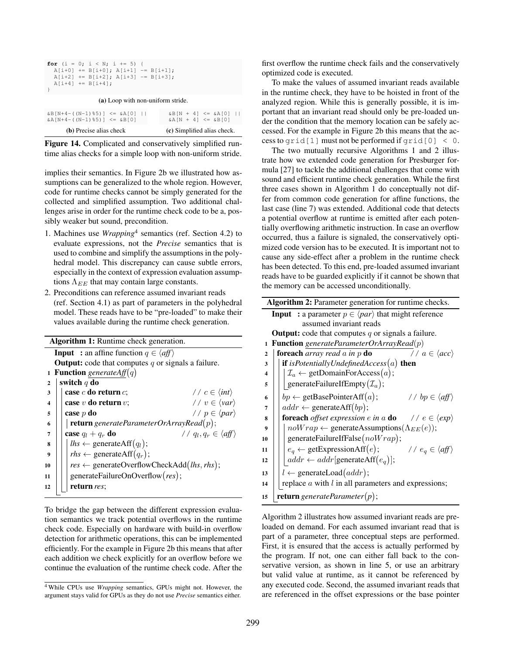<span id="page-7-0"></span>

|  | for $(i = 0; i < N; i += 5)$ {<br>$A[i+0]$ += $B[i+0]$ ; $A[i+1]$ -= $B[i+1]$ ;<br>$A[i+2]$ += $B[i+2]$ ; $A[i+3]$ -= $B[i+3]$ ;<br>$A[i+4] += B[i+4];$ |                                   |                                                                               |  |
|--|---------------------------------------------------------------------------------------------------------------------------------------------------------|-----------------------------------|-------------------------------------------------------------------------------|--|
|  |                                                                                                                                                         | (a) Loop with non-uniform stride. |                                                                               |  |
|  | $\&B[N+4-(N-1)\$ $5)$ $\leq$ $\&A[0]$ $\perp$<br>$& A[N+4-((N-1)$ $S5)]$ <= $& B[0]$                                                                    |                                   | $&\text{B} \begin{bmatrix} N + 4 \end{bmatrix} \leq 4$<br>$& A[N + 4] \leq K$ |  |

(b) Precise alias check  $\&B[N + 4] \leq \&A[0] |I|$ <br> $\&A[N + 4] \leq \&B[0]$ (c) Simplified alias check.

Figure 14. Complicated and conservatively simplified runtime alias checks for a simple loop with non-uniform stride.

implies their semantics. In [Figure 2b](#page-1-0) we illustrated how assumptions can be generalized to the whole region. However, code for runtime checks cannot be simply generated for the collected and simplified assumption. Two additional challenges arise in order for the runtime check code to be a, possibly weaker but sound, precondition.

- 1. Machines use *Wrapping*[4](#page-7-1) semantics (ref. [Section 4.2\)](#page-3-0) to evaluate expressions, not the *Precise* semantics that is used to combine and simplify the assumptions in the polyhedral model. This discrepancy can cause subtle errors, especially in the context of expression evaluation assumptions  $\Lambda_{EE}$  that may contain large constants.
- 2. Preconditions can reference assumed invariant reads (ref. [Section 4.1\)](#page-3-1) as part of parameters in the polyhedral model. These reads have to be "pre-loaded" to make their values available during the runtime check generation.

<span id="page-7-2"></span>

| <b>Algorithm 1:</b> Runtime check generation. |                                                                       |  |  |  |
|-----------------------------------------------|-----------------------------------------------------------------------|--|--|--|
|                                               | <b>Input</b> : an affine function $q \in \langle aff \rangle$         |  |  |  |
|                                               | <b>Output:</b> code that computes $q$ or signals a failure.           |  |  |  |
|                                               | <b>1 Function</b> generate Aff(q)                                     |  |  |  |
| switch $q$ do<br>$\mathbf{2}$                 |                                                                       |  |  |  |
| 3                                             | case $c$ do return $c$ ;<br>// $c \in \langle int \rangle$            |  |  |  |
| $\overline{\mathbf{4}}$                       | // $v \in \langle var \rangle$<br>case $v$ do return $v$ ;            |  |  |  |
| 5                                             | // $p \in \langle par \rangle$<br>case $p$ do                         |  |  |  |
| 6                                             | <b>return</b> generateParameterOrArrayRead $(p)$ ;                    |  |  |  |
| 7                                             | // $q_l, q_r \in \langle aff \rangle$<br>case $q_l + q_r$ do          |  |  |  |
| 8                                             | $lhs \leftarrow$ generate Aff $(q_l)$ ;                               |  |  |  |
| 9                                             | $rhs \leftarrow$ generate Aff $(q_r)$ ;                               |  |  |  |
| 10                                            | $res \leftarrow$ generateOverflowCheckAdd( <i>lhs</i> , <i>rhs</i> ); |  |  |  |
| 11                                            | generateFailureOnOverflow( $res$ );                                   |  |  |  |
| 12                                            | return res;                                                           |  |  |  |
|                                               |                                                                       |  |  |  |

<span id="page-7-4"></span>To bridge the gap between the different expression evaluation semantics we track potential overflows in the runtime check code. Especially on hardware with build-in overflow detection for arithmetic operations, this can be implemented efficiently. For the example in [Figure 2b](#page-1-0) this means that after each addition we check explicitly for an overflow before we continue the evaluation of the runtime check code. After the

first overflow the runtime check fails and the conservatively optimized code is executed.

To make the values of assumed invariant reads available in the runtime check, they have to be hoisted in front of the analyzed region. While this is generally possible, it is important that an invariant read should only be pre-loaded under the condition that the memory location can be safely accessed. For the example in [Figure 2b](#page-1-0) this means that the access to grid[1] must not be performed if grid[0] < 0.

The two mutually recursive Algorithms [1](#page-7-2) and [2](#page-7-3) illustrate how we extended code generation for Presburger formula [\[27\]](#page-11-12) to tackle the additional challenges that come with sound and efficient runtime check generation. While the first three cases shown in [Algorithm 1](#page-7-2) do conceptually not differ from common code generation for affine functions, the last case (line [7\)](#page-7-4) was extended. Additional code that detects a potential overflow at runtime is emitted after each potentially overflowing arithmetic instruction. In case an overflow occurred, thus a failure is signaled, the conservatively optimized code version has to be executed. It is important not to cause any side-effect after a problem in the runtime check has been detected. To this end, pre-loaded assumed invariant reads have to be guarded explicitly if it cannot be shown that the memory can be accessed unconditionally.

<span id="page-7-6"></span><span id="page-7-5"></span><span id="page-7-3"></span>

|              | Algorithm 2: Parameter generation for runtime checks.                                     |  |  |  |  |
|--------------|-------------------------------------------------------------------------------------------|--|--|--|--|
|              | <b>Input</b> : a parameter $p \in \langle par \rangle$ that might reference               |  |  |  |  |
|              | assumed invariant reads                                                                   |  |  |  |  |
|              | <b>Output:</b> code that computes $q$ or signals a failure.                               |  |  |  |  |
| $\mathbf{1}$ | <b>Function</b> generateParameterOrArrayRead $(p)$                                        |  |  |  |  |
| $\mathbf{2}$ | <b>foreach</b> array read $a$ in $p$ <b>do</b><br>// $a \in \langle acc \rangle$          |  |  |  |  |
| 3            | <b>if</b> is Potentially Undefined Access $(a)$ then                                      |  |  |  |  |
| 4            | $\mathcal{I}_a \leftarrow \text{getDomainForAccess}(a);$                                  |  |  |  |  |
| 5            | generateFailureIfEmpty $(\mathcal{I}_a)$ ;                                                |  |  |  |  |
| 6            | $bp \leftarrow \text{getBasePointerAff}(a);$<br>// $bp \in \langle aff \rangle$           |  |  |  |  |
| 7            | $addr \leftarrow$ generate Aff $(bp)$ ;                                                   |  |  |  |  |
| 8            | foreach <i>offset expression <math>e</math> in a</i> do<br>// $e \in \langle exp \rangle$ |  |  |  |  |
| 9            | $noWrap \leftarrow$ generate Assumptions ( $\Lambda_{EE}(e)$ );                           |  |  |  |  |
| 10           | generateFailureIfFalse $(noWrap)$ ;                                                       |  |  |  |  |
| 11           | $e_q \leftarrow$ getExpressionAff $(e)$ ;<br>// $e_q \in \langle aff \rangle$             |  |  |  |  |
| 12           | $addr \leftarrow addr$ [generateAff $(e_q)$ ];                                            |  |  |  |  |
| 13           | $l \leftarrow$ generateLoad( $addr$ );                                                    |  |  |  |  |
| 14           | replace $a$ with $l$ in all parameters and expressions;                                   |  |  |  |  |
| 15           | <b>return</b> generateParameter(p);                                                       |  |  |  |  |

<span id="page-7-7"></span>[Algorithm 2](#page-7-3) illustrates how assumed invariant reads are preloaded on demand. For each assumed invariant read that is part of a parameter, three conceptual steps are performed. First, it is ensured that the access is actually performed by the program. If not, one can either fall back to the conservative version, as shown in [line 5,](#page-7-5) or use an arbitrary but valid value at runtime, as it cannot be referenced by any executed code. Second, the assumed invariant reads that are referenced in the offset expressions or the base pointer

<span id="page-7-1"></span><sup>4</sup> While CPUs use *Wrapping* semantics, GPUs might not. However, the argument stays valid for GPUs as they do not use *Precise* semantics either.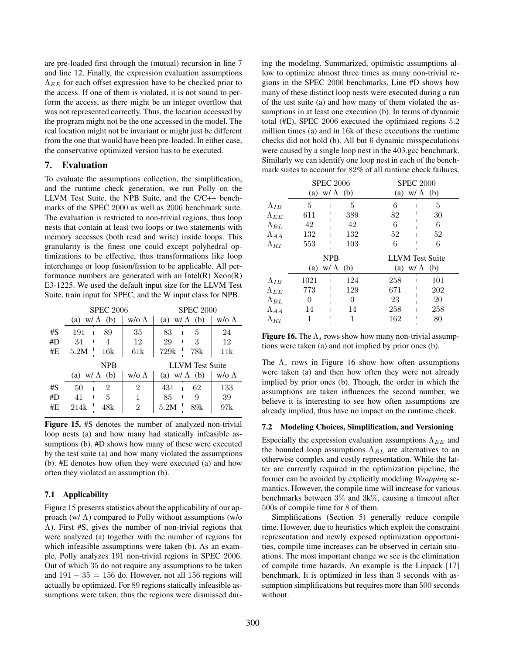are pre-loaded first through the (mutual) recursion in [line 7](#page-7-6) and [line 12.](#page-7-7) Finally, the expression evaluation assumptions  $\Lambda_{EE}$  for each offset expression have to be checked prior to the access. If one of them is violated, it is not sound to perform the access, as there might be an integer overflow that was not represented correctly. Thus, the location accessed by the program might not be the one accessed in the model. The real location might not be invariant or might just be different from the one that would have been pre-loaded. In either case, the conservative optimized version has to be executed.

# <span id="page-8-0"></span>7. Evaluation

To evaluate the assumptions collection, the simplification, and the runtime check generation, we run Polly on the LLVM Test Suite, the NPB Suite, and the C/C++ benchmarks of the SPEC 2000 as well as 2006 benchmark suite. The evaluation is restricted to non-trivial regions, thus loop nests that contain at least two loops or two statements with memory accesses (both read and write) inside loops. This granularity is the finest one could except polyhedral optimizations to be effective, thus transformations like loop interchange or loop fusion/fission to be applicable. All performance numbers are generated with an Intel $(R)$  Xeon $(R)$ E3-1225. We used the default input size for the LLVM Test Suite, train input for SPEC, and the W input class for NPB.

<span id="page-8-2"></span>

|    | <b>SPEC 2006</b> |                 |                    | <b>SPEC 2000</b>     |                        |                    |
|----|------------------|-----------------|--------------------|----------------------|------------------------|--------------------|
|    | (a)              | $W/\Lambda$ (b) | $w/\sigma \Lambda$ | (a)                  | $W/\Lambda$ (b)        | $w/\sigma \Lambda$ |
| #S | 191              | 89              | 35                 | 83                   | 5                      | 24                 |
| #D | 34               | 4               | 12                 | 29                   | 3                      | 12                 |
| #E | 5.2M             | 16k             | 61k                | 729k                 | 78k                    | 11k                |
|    |                  |                 |                    |                      |                        |                    |
|    |                  | <b>NPB</b>      |                    |                      | <b>LLVM</b> Test Suite |                    |
|    | (a)              | $W/\Lambda$ (b) | $w/\sigma \Lambda$ | (a) w/ $\Lambda$ (b) |                        | $w/\sigma \Lambda$ |
| #S | 50               | $\mathfrak{D}$  | $\overline{2}$     | 431                  | 62                     | 133                |
| #D | 41               | 5               | 1                  | 85                   | 9                      | 39                 |

Figure 15. #S denotes the number of analyzed non-trivial loop nests (a) and how many had statically infeasible assumptions (b). #D shows how many of these were executed by the test suite (a) and how many violated the assumptions (b). #E denotes how often they were executed (a) and how often they violated an assumption (b).

# 7.1 Applicability

[Figure 15](#page-8-2) presents statistics about the applicability of our approach (w/ $\Lambda$ ) compared to Polly without assumptions (w/o Λ). First #S, gives the number of non-trivial regions that were analyzed (a) together with the number of regions for which infeasible assumptions were taken (b). As an example, Polly analyzes 191 non-trivial regions in SPEC 2006. Out of which 35 do not require any assumptions to be taken and  $191 - 35 = 156$  do. However, not all 156 regions will actually be optimized. For 89 regions statically infeasible assumptions were taken, thus the regions were dismissed during the modeling. Summarized, optimistic assumptions allow to optimize almost three times as many non-trivial regions in the SPEC 2006 benchmarks. Line #D shows how many of these distinct loop nests were executed during a run of the test suite (a) and how many of them violated the assumptions in at least one execution (b). In terms of dynamic total (#E), SPEC 2006 executed the optimized regions 5.2 million times (a) and in 16k of these executions the runtime checks did not hold (b). All but 6 dynamic misspeculations were caused by a single loop nest in the 403.gcc benchmark. Similarly we can identify one loop nest in each of the benchmark suites to account for 82% of all runtime check failures.

<span id="page-8-3"></span>

|                | <b>SPEC 2006</b> |                      | <b>SPEC 2000</b> |                        |
|----------------|------------------|----------------------|------------------|------------------------|
|                |                  | (a) w/ $\Lambda$ (b) | (a)              | $W/\Lambda$ (b)        |
| $\Lambda_{IB}$ | 5                | 5                    | 6                | 5                      |
| $\Lambda_{EE}$ | 611              | 389                  | 82               | 30                     |
| $\Lambda_{BL}$ | 42               | 42                   | 6                | 6                      |
| $\Lambda_{AA}$ | 132              | 132                  | 52               | 52                     |
| $\Lambda_{RT}$ | 553              | 103                  | 6                | 6                      |
|                |                  |                      |                  |                        |
|                |                  | <b>NPB</b>           |                  | <b>LLVM</b> Test Suite |
|                | (a)              | $W/\Lambda$ (b)      |                  | (a) w/ $\Lambda$ (b)   |
| $\Lambda_{IB}$ | 1021             | 124                  | 258              | 101                    |
| $\Lambda_{EE}$ | 773              | 129                  | 671              | 202                    |
| $\Lambda_{BL}$ |                  | 0                    | 23               | 20                     |
| $\Lambda_{AA}$ | 14               | 14                   | 258              | 258                    |

**Figure 16.** The  $\Lambda_*$  rows show how many non-trivial assumptions were taken (a) and not implied by prior ones (b).

The  $\Lambda_{*}$  rows in [Figure 16](#page-8-3) show how often assumptions were taken (a) and then how often they were not already implied by prior ones (b). Though, the order in which the assumptions are taken influences the second number, we believe it is interesting to see how often assumptions are already implied, thus have no impact on the runtime check.

# <span id="page-8-1"></span>7.2 Modeling Choices, Simplification, and Versioning

Especially the expression evaluation assumptions  $\Lambda_{EE}$  and the bounded loop assumptions  $\Lambda_{BL}$  are alternatives to an otherwise complex and costly representation. While the latter are currently required in the optimization pipeline, the former can be avoided by explicitly modeling *Wrapping* semantics. However, the compile time will increase for various benchmarks between 3% and 3k%, causing a timeout after 500s of compile time for 8 of them.

Simplifications [\(Section 5\)](#page-6-1) generally reduce compile time. However, due to heuristics which exploit the constraint representation and newly exposed optimization opportunities, compile time increases can be observed in certain situations. The most important change we see is the elimination of compile time hazards. An example is the Linpack [\[17\]](#page-10-13) benchmark. It is optimized in less than 3 seconds with assumption simplifications but requires more than 500 seconds without.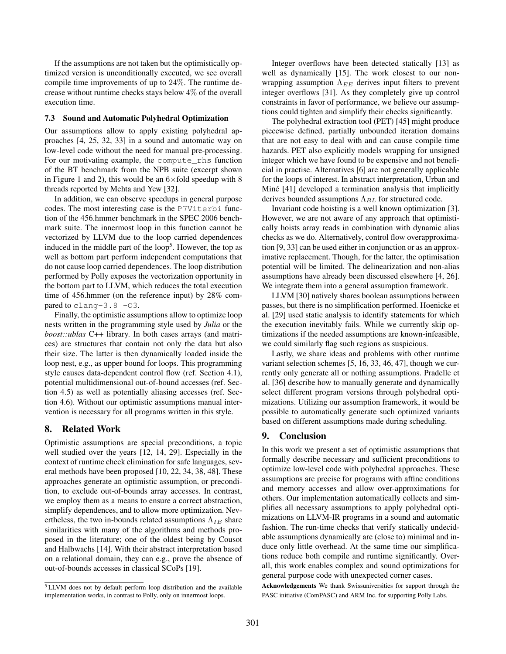If the assumptions are not taken but the optimistically optimized version is unconditionally executed, we see overall compile time improvements of up to 24%. The runtime decrease without runtime checks stays below 4% of the overall execution time.

#### 7.3 Sound and Automatic Polyhedral Optimization

Our assumptions allow to apply existing polyhedral approaches [\[4,](#page-10-12) [25,](#page-10-14) [32,](#page-11-6) [33\]](#page-11-13) in a sound and automatic way on low-level code without the need for manual pre-processing. For our motivating example, the compute rhs function of the BT benchmark from the NPB suite (excerpt shown in [Figure 1](#page-0-0) and [2\)](#page-1-0), this would be an  $6 \times$  fold speedup with 8 threads reported by Mehta and Yew [\[32\]](#page-11-6).

In addition, we can observe speedups in general purpose codes. The most interesting case is the P7Viterbi function of the 456.hmmer benchmark in the SPEC 2006 benchmark suite. The innermost loop in this function cannot be vectorized by LLVM due to the loop carried dependences induced in the middle part of the  $loop<sup>5</sup>$  $loop<sup>5</sup>$  $loop<sup>5</sup>$ . However, the top as well as bottom part perform independent computations that do not cause loop carried dependences. The loop distribution performed by Polly exposes the vectorization opportunity in the bottom part to LLVM, which reduces the total execution time of 456.hmmer (on the reference input) by 28% compared to clang-3.8  $-03$ .

Finally, the optimistic assumptions allow to optimize loop nests written in the programming style used by *Julia* or the *boost::ublas* C++ library. In both cases arrays (and matrices) are structures that contain not only the data but also their size. The latter is then dynamically loaded inside the loop nest, e.g., as upper bound for loops. This programming style causes data-dependent control flow (ref. [Section 4.1\)](#page-3-1), potential multidimensional out-of-bound accesses (ref. [Sec](#page-5-0)[tion 4.5\)](#page-5-0) as well as potentially aliasing accesses (ref. [Sec](#page-6-0)[tion 4.6\)](#page-6-0). Without our optimistic assumptions manual intervention is necessary for all programs written in this style.

#### 8. Related Work

Optimistic assumptions are special preconditions, a topic well studied over the years [\[12,](#page-10-15) [14,](#page-10-16) [29\]](#page-11-14). Especially in the context of runtime check elimination for safe languages, several methods have been proposed [\[10,](#page-10-17) [22,](#page-10-18) [34,](#page-11-15) [38,](#page-11-16) [48\]](#page-11-17). These approaches generate an optimistic assumption, or precondition, to exclude out-of-bounds array accesses. In contrast, we employ them as a means to ensure a correct abstraction, simplify dependences, and to allow more optimization. Nevertheless, the two in-bounds related assumptions  $\Lambda_{IB}$  share similarities with many of the algorithms and methods proposed in the literature; one of the oldest being by Cousot and Halbwachs [\[14\]](#page-10-16). With their abstract interpretation based on a relational domain, they can e.g., prove the absence of out-of-bounds accesses in classical SCoPs [\[19\]](#page-10-5).

Integer overflows have been detected statically [\[13\]](#page-10-19) as well as dynamically [\[15\]](#page-10-11). The work closest to our nonwrapping assumption  $\Lambda_{EE}$  derives input filters to prevent integer overflows [\[31\]](#page-11-18). As they completely give up control constraints in favor of performance, we believe our assumptions could tighten and simplify their checks significantly.

The polyhedral extraction tool (PET) [\[45\]](#page-11-7) might produce piecewise defined, partially unbounded iteration domains that are not easy to deal with and can cause compile time hazards. PET also explicitly models wrapping for unsigned integer which we have found to be expensive and not beneficial in practise. Alternatives [\[6\]](#page-10-20) are not generally applicable for the loops of interest. In abstract interpretation, Urban and Miné [\[41\]](#page-11-19) developed a termination analysis that implicitly derives bounded assumptions  $\Lambda_{BL}$  for structured code.

Invariant code hoisting is a well known optimization [\[3\]](#page-10-21). However, we are not aware of any approach that optimistically hoists array reads in combination with dynamic alias checks as we do. Alternatively, control flow overapproximation [\[9,](#page-10-22) [33\]](#page-11-13) can be used either in conjunction or as an approximative replacement. Though, for the latter, the optimisation potential will be limited. The delinearization and non-alias assumptions have already been discussed elsewhere [\[4,](#page-10-12) [26\]](#page-11-4). We integrate them into a general assumption framework.

LLVM [\[30\]](#page-11-20) natively shares boolean assumptions between passes, but there is no simplification performed. Hoenicke et al. [\[29\]](#page-11-14) used static analysis to identify statements for which the execution inevitably fails. While we currently skip optimizations if the needed assumptions are known-infeasible, we could similarly flag such regions as suspicious.

Lastly, we share ideas and problems with other runtime variant selection schemes [\[5,](#page-10-23) [16,](#page-10-24) [33,](#page-11-13) [46,](#page-11-21) [47\]](#page-11-22), though we currently only generate all or nothing assumptions. Pradelle et al. [\[36\]](#page-11-1) describe how to manually generate and dynamically select different program versions through polyhedral optimizations. Utilizing our assumption framework, it would be possible to automatically generate such optimized variants based on different assumptions made during scheduling.

#### 9. Conclusion

In this work we present a set of optimistic assumptions that formally describe necessary and sufficient preconditions to optimize low-level code with polyhedral approaches. These assumptions are precise for programs with affine conditions and memory accesses and allow over-approximations for others. Our implementation automatically collects and simplifies all necessary assumptions to apply polyhedral optimizations on LLVM-IR programs in a sound and automatic fashion. The run-time checks that verify statically undecidable assumptions dynamically are (close to) minimal and induce only little overhead. At the same time our simplifications reduce both compile and runtime significantly. Overall, this work enables complex and sound optimizations for general purpose code with unexpected corner cases.

Acknowledgements We thank Swissuniversities for support through the PASC initiative (ComPASC) and ARM Inc. for supporting Polly Labs.

<span id="page-9-0"></span><sup>5</sup> LLVM does not by default perform loop distribution and the available implementation works, in contrast to Polly, only on innermost loops.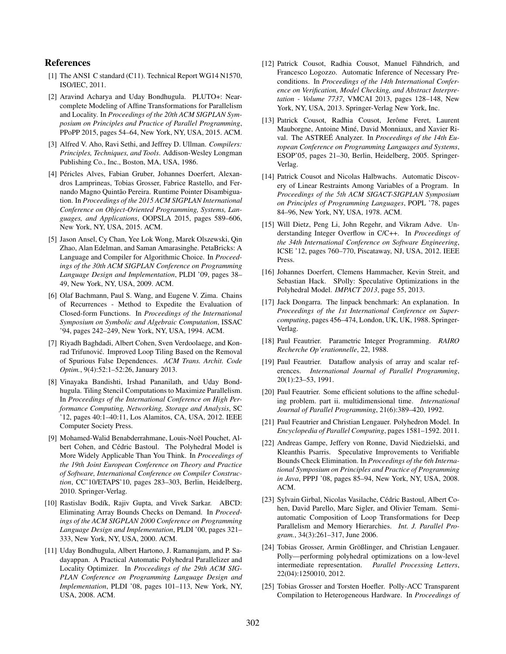# References

- <span id="page-10-9"></span>[1] The ANSI C standard (C11). Technical Report WG14 N1570, ISO/IEC, 2011.
- <span id="page-10-0"></span>[2] Aravind Acharya and Uday Bondhugula. PLUTO+: Nearcomplete Modeling of Affine Transformations for Parallelism and Locality. In *Proceedings of the 20th ACM SIGPLAN Symposium on Principles and Practice of Parallel Programming*, PPoPP 2015, pages 54–64, New York, NY, USA, 2015. ACM.
- <span id="page-10-21"></span>[3] Alfred V. Aho, Ravi Sethi, and Jeffrey D. Ullman. *Compilers: Principles, Techniques, and Tools*. Addison-Wesley Longman Publishing Co., Inc., Boston, MA, USA, 1986.
- <span id="page-10-12"></span>[4] Péricles Alves, Fabian Gruber, Johannes Doerfert, Alexandros Lamprineas, Tobias Grosser, Fabrice Rastello, and Fernando Magno Quintão Pereira. Runtime Pointer Disambiguation. In *Proceedings of the 2015 ACM SIGPLAN International Conference on Object-Oriented Programming, Systems, Languages, and Applications*, OOPSLA 2015, pages 589–606, New York, NY, USA, 2015. ACM.
- <span id="page-10-23"></span>[5] Jason Ansel, Cy Chan, Yee Lok Wong, Marek Olszewski, Qin Zhao, Alan Edelman, and Saman Amarasinghe. PetaBricks: A Language and Compiler for Algorithmic Choice. In *Proceedings of the 30th ACM SIGPLAN Conference on Programming Language Design and Implementation*, PLDI '09, pages 38– 49, New York, NY, USA, 2009. ACM.
- <span id="page-10-20"></span>[6] Olaf Bachmann, Paul S. Wang, and Eugene V. Zima. Chains of Recurrences - Method to Expedite the Evaluation of Closed-form Functions. In *Proceedings of the International Symposium on Symbolic and Algebraic Computation*, ISSAC '94, pages 242–249, New York, NY, USA, 1994. ACM.
- <span id="page-10-1"></span>[7] Riyadh Baghdadi, Albert Cohen, Sven Verdoolaege, and Konrad Trifunovic. Improved Loop Tiling Based on the Removal ´ of Spurious False Dependences. *ACM Trans. Archit. Code Optim.*, 9(4):52:1–52:26, January 2013.
- <span id="page-10-2"></span>[8] Vinayaka Bandishti, Irshad Pananilath, and Uday Bondhugula. Tiling Stencil Computations to Maximize Parallelism. In *Proceedings of the International Conference on High Performance Computing, Networking, Storage and Analysis*, SC '12, pages 40:1–40:11, Los Alamitos, CA, USA, 2012. IEEE Computer Society Press.
- <span id="page-10-22"></span>[9] Mohamed-Walid Benabderrahmane, Louis-Noël Pouchet, Albert Cohen, and Cédric Bastoul. The Polyhedral Model is More Widely Applicable Than You Think. In *Proceedings of the 19th Joint European Conference on Theory and Practice of Software, International Conference on Compiler Construction*, CC'10/ETAPS'10, pages 283–303, Berlin, Heidelberg, 2010. Springer-Verlag.
- <span id="page-10-17"></span>[10] Rastislav Bodík, Rajiv Gupta, and Vivek Sarkar. ABCD: Eliminating Array Bounds Checks on Demand. In *Proceedings of the ACM SIGPLAN 2000 Conference on Programming Language Design and Implementation*, PLDI '00, pages 321– 333, New York, NY, USA, 2000. ACM.
- <span id="page-10-6"></span>[11] Uday Bondhugula, Albert Hartono, J. Ramanujam, and P. Sadayappan. A Practical Automatic Polyhedral Parallelizer and Locality Optimizer. In *Proceedings of the 29th ACM SIG-PLAN Conference on Programming Language Design and Implementation*, PLDI '08, pages 101–113, New York, NY, USA, 2008. ACM.
- <span id="page-10-15"></span>[12] Patrick Cousot, Radhia Cousot, Manuel Fähndrich, and Francesco Logozzo. Automatic Inference of Necessary Preconditions. In *Proceedings of the 14th International Conference on Verification, Model Checking, and Abstract Interpretation - Volume 7737*, VMCAI 2013, pages 128–148, New York, NY, USA, 2013. Springer-Verlag New York, Inc.
- <span id="page-10-19"></span>[13] Patrick Cousot, Radhia Cousot, Jerôme Feret, Laurent Mauborgne, Antoine Miné, David Monniaux, and Xavier Rival. The ASTREE Analyzer. In *Proceedings of the 14th European Conference on Programming Languages and Systems*, ESOP'05, pages 21–30, Berlin, Heidelberg, 2005. Springer-Verlag.
- <span id="page-10-16"></span>[14] Patrick Cousot and Nicolas Halbwachs. Automatic Discovery of Linear Restraints Among Variables of a Program. In *Proceedings of the 5th ACM SIGACT-SIGPLAN Symposium on Principles of Programming Languages*, POPL '78, pages 84–96, New York, NY, USA, 1978. ACM.
- <span id="page-10-11"></span>[15] Will Dietz, Peng Li, John Regehr, and Vikram Adve. Understanding Integer Overflow in C/C++. In *Proceedings of the 34th International Conference on Software Engineering*, ICSE '12, pages 760–770, Piscataway, NJ, USA, 2012. IEEE Press.
- <span id="page-10-24"></span>[16] Johannes Doerfert, Clemens Hammacher, Kevin Streit, and Sebastian Hack. SPolly: Speculative Optimizations in the Polyhedral Model. *IMPACT 2013*, page 55, 2013.
- <span id="page-10-13"></span>[17] Jack Dongarra. The linpack benchmark: An explanation. In *Proceedings of the 1st International Conference on Supercomputing*, pages 456–474, London, UK, UK, 1988. Springer-Verlag.
- <span id="page-10-3"></span>[18] Paul Feautrier. Parametric Integer Programming. *RAIRO Recherche Op'erationnelle*, 22, 1988.
- <span id="page-10-5"></span>[19] Paul Feautrier. Dataflow analysis of array and scalar references. *International Journal of Parallel Programming*, 20(1):23–53, 1991.
- <span id="page-10-4"></span>[20] Paul Feautrier. Some efficient solutions to the affine scheduling problem. part ii. multidimensional time. *International Journal of Parallel Programming*, 21(6):389–420, 1992.
- <span id="page-10-10"></span>[21] Paul Feautrier and Christian Lengauer. Polyhedron Model. In *Encyclopedia of Parallel Computing*, pages 1581–1592. 2011.
- <span id="page-10-18"></span>[22] Andreas Gampe, Jeffery von Ronne, David Niedzielski, and Kleanthis Psarris. Speculative Improvements to Verifiable Bounds Check Elimination. In *Proceedings of the 6th International Symposium on Principles and Practice of Programming in Java*, PPPJ '08, pages 85–94, New York, NY, USA, 2008. ACM.
- <span id="page-10-7"></span>[23] Sylvain Girbal, Nicolas Vasilache, Cédric Bastoul, Albert Cohen, David Parello, Marc Sigler, and Olivier Temam. Semiautomatic Composition of Loop Transformations for Deep Parallelism and Memory Hierarchies. *Int. J. Parallel Program.*, 34(3):261–317, June 2006.
- <span id="page-10-8"></span>[24] Tobias Grosser, Armin Größlinger, and Christian Lengauer. Polly—performing polyhedral optimizations on a low-level intermediate representation. *Parallel Processing Letters*, 22(04):1250010, 2012.
- <span id="page-10-14"></span>[25] Tobias Grosser and Torsten Hoefler. Polly-ACC Transparent Compilation to Heterogeneous Hardware. In *Proceedings of*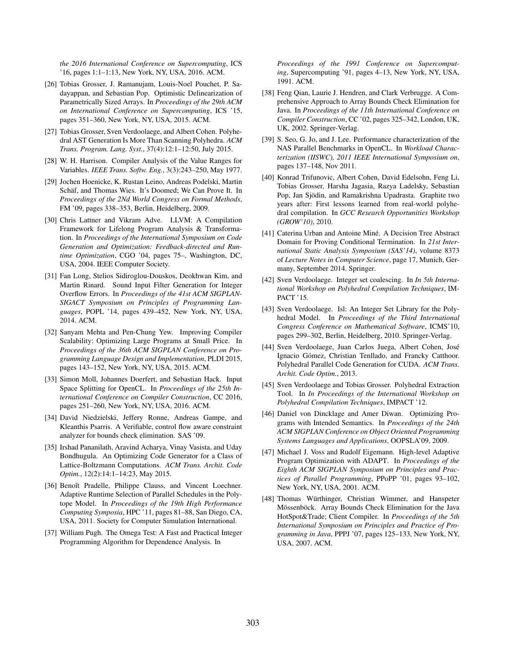*the 2016 International Conference on Supercomputing*, ICS '16, pages 1:1–1:13, New York, NY, USA, 2016. ACM.

- <span id="page-11-4"></span>[26] Tobias Grosser, J. Ramanujam, Louis-Noel Pouchet, P. Sadayappan, and Sebastian Pop. Optimistic Delinearization of Parametrically Sized Arrays. In *Proceedings of the 29th ACM on International Conference on Supercomputing*, ICS '15, pages 351–360, New York, NY, USA, 2015. ACM.
- <span id="page-11-12"></span>[27] Tobias Grosser, Sven Verdoolaege, and Albert Cohen. Polyhedral AST Generation Is More Than Scanning Polyhedra. *ACM Trans. Program. Lang. Syst.*, 37(4):12:1–12:50, July 2015.
- <span id="page-11-11"></span>[28] W. H. Harrison. Compiler Analysis of the Value Ranges for Variables. *IEEE Trans. Softw. Eng.*, 3(3):243–250, May 1977.
- <span id="page-11-14"></span>[29] Jochen Hoenicke, K. Rustan Leino, Andreas Podelski, Martin Schäf, and Thomas Wies. It's Doomed; We Can Prove It. In *Proceedings of the 2Nd World Congress on Formal Methods*, FM '09, pages 338–353, Berlin, Heidelberg, 2009.
- <span id="page-11-20"></span>[30] Chris Lattner and Vikram Adve. LLVM: A Compilation Framework for Lifelong Program Analysis & Transformation. In *Proceedings of the International Symposium on Code Generation and Optimization: Feedback-directed and Runtime Optimization*, CGO '04, pages 75–, Washington, DC, USA, 2004. IEEE Computer Society.
- <span id="page-11-18"></span>[31] Fan Long, Stelios Sidiroglou-Douskos, Deokhwan Kim, and Martin Rinard. Sound Input Filter Generation for Integer Overflow Errors. In *Proceedings of the 41st ACM SIGPLAN-SIGACT Symposium on Principles of Programming Languages*, POPL '14, pages 439–452, New York, NY, USA, 2014. ACM.
- <span id="page-11-6"></span>[32] Sanyam Mehta and Pen-Chung Yew. Improving Compiler Scalability: Optimizing Large Programs at Small Price. In *Proceedings of the 36th ACM SIGPLAN Conference on Programming Language Design and Implementation*, PLDI 2015, pages 143–152, New York, NY, USA, 2015. ACM.
- <span id="page-11-13"></span>[33] Simon Moll, Johannes Doerfert, and Sebastian Hack. Input Space Splitting for OpenCL. In *Proceedings of the 25th International Conference on Compiler Construction*, CC 2016, pages 251–260, New York, NY, USA, 2016. ACM.
- <span id="page-11-15"></span>[34] David Niedzielski, Jeffery Ronne, Andreas Gampe, and Kleanthis Psarris. A Verifiable, control flow aware constraint analyzer for bounds check elimination. SAS '09.
- <span id="page-11-0"></span>[35] Irshad Pananilath, Aravind Acharya, Vinay Vasista, and Uday Bondhugula. An Optimizing Code Generator for a Class of Lattice-Boltzmann Computations. *ACM Trans. Archit. Code Optim.*, 12(2):14:1–14:23, May 2015.
- <span id="page-11-1"></span>[36] Benoît Pradelle, Philippe Clauss, and Vincent Loechner. Adaptive Runtime Selection of Parallel Schedules in the Polytope Model. In *Proceedings of the 19th High Performance Computing Symposia*, HPC '11, pages 81–88, San Diego, CA, USA, 2011. Society for Computer Simulation International.
- <span id="page-11-8"></span>[37] William Pugh. The Omega Test: A Fast and Practical Integer Programming Algorithm for Dependence Analysis. In

*Proceedings of the 1991 Conference on Supercomputing*, Supercomputing '91, pages 4–13, New York, NY, USA, 1991. ACM.

- <span id="page-11-16"></span>[38] Feng Qian, Laurie J. Hendren, and Clark Verbrugge. A Comprehensive Approach to Array Bounds Check Elimination for Java. In *Proceedings of the 11th International Conference on Compiler Construction*, CC '02, pages 325–342, London, UK, UK, 2002. Springer-Verlag.
- <span id="page-11-5"></span>[39] S. Seo, G. Jo, and J. Lee. Performance characterization of the NAS Parallel Benchmarks in OpenCL. In *Workload Characterization (IISWC), 2011 IEEE International Symposium on*, pages 137–148, Nov 2011.
- <span id="page-11-3"></span>[40] Konrad Trifunovic, Albert Cohen, David Edelsohn, Feng Li, Tobias Grosser, Harsha Jagasia, Razya Ladelsky, Sebastian Pop, Jan Sjödin, and Ramakrishna Upadrasta. Graphite two years after: First lessons learned from real-world polyhedral compilation. In *GCC Research Opportunities Workshop (GROW'10)*, 2010.
- <span id="page-11-19"></span>[41] Caterina Urban and Antoine Miné. A Decision Tree Abstract Domain for Proving Conditional Termination. In *21st International Static Analysis Symposium (SAS'14)*, volume 8373 of *Lecture Notes in Computer Science*, page 17, Munich, Germany, September 2014. Springer.
- <span id="page-11-10"></span>[42] Sven Verdoolaege. Integer set coalescing. In *In 5th International Workshop on Polyhedral Compilation Techniques*, IM-PACT '15.
- <span id="page-11-9"></span>[43] Sven Verdoolaege. Isl: An Integer Set Library for the Polyhedral Model. In *Proceedings of the Third International Congress Conference on Mathematical Software*, ICMS'10, pages 299–302, Berlin, Heidelberg, 2010. Springer-Verlag.
- <span id="page-11-2"></span>[44] Sven Verdoolaege, Juan Carlos Juega, Albert Cohen, Jose´ Ignacio Gómez, Christian Tenllado, and Francky Catthoor. Polyhedral Parallel Code Generation for CUDA. *ACM Trans. Archit. Code Optim.*, 2013.
- <span id="page-11-7"></span>[45] Sven Verdoolaege and Tobias Grosser. Polyhedral Extraction Tool. In *In Proceedings of the International Workshop on Polyhedral Compilation Techniques*, IMPACT '12.
- <span id="page-11-21"></span>[46] Daniel von Dincklage and Amer Diwan. Optimizing Programs with Intended Semantics. In *Proceedings of the 24th ACM SIGPLAN Conference on Object Oriented Programming Systems Languages and Applications*, OOPSLA'09, 2009.
- <span id="page-11-22"></span>[47] Michael J. Voss and Rudolf Eigemann. High-level Adaptive Program Optimization with ADAPT. In *Proceedings of the Eighth ACM SIGPLAN Symposium on Principles and Practices of Parallel Programming*, PPoPP '01, pages 93–102, New York, NY, USA, 2001. ACM.
- <span id="page-11-17"></span>[48] Thomas Würthinger, Christian Wimmer, and Hanspeter Mössenböck. Array Bounds Check Elimination for the Java HotSpot&Trade; Client Compiler. In *Proceedings of the 5th International Symposium on Principles and Practice of Programming in Java*, PPPJ '07, pages 125–133, New York, NY, USA, 2007. ACM.